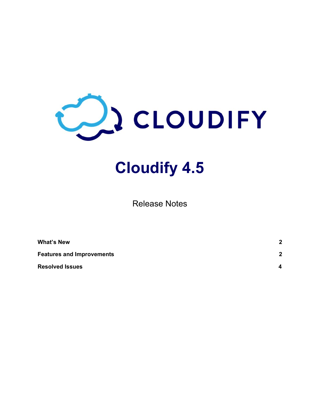

# **Cloudify 4.5**

Release Notes

| <b>What's New</b>                | $\overline{2}$ |
|----------------------------------|----------------|
| <b>Features and Improvements</b> | $\mathbf{2}$   |
| <b>Resolved Issues</b>           | 4              |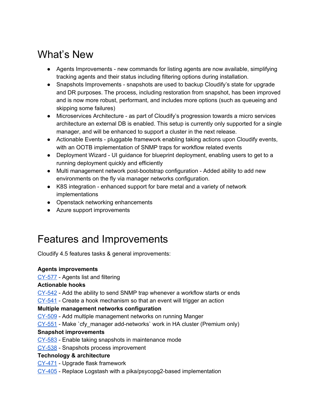# <span id="page-1-0"></span>What's New

- Agents Improvements new commands for listing agents are now available, simplifying tracking agents and their status including filtering options during installation.
- Snapshots Improvements snapshots are used to backup Cloudify's state for upgrade and DR purposes. The process, including restoration from snapshot, has been improved and is now more robust, performant, and includes more options (such as queueing and skipping some failures)
- Microservices Architecture as part of Cloudify's progression towards a micro services architecture an external DB is enabled. This setup is currently only supported for a single manager, and will be enhanced to support a cluster in the next release.
- Actionable Events pluggable framework enabling taking actions upon Cloudify events, with an OOTB implementation of SNMP traps for workflow related events
- Deployment Wizard UI guidance for blueprint deployment, enabling users to get to a running deployment quickly and efficiently
- Multi management network post-bootstrap configuration Added ability to add new environments on the fly via manager networks configuration.
- K8S integration enhanced support for bare metal and a variety of network implementations
- Openstack networking enhancements
- Azure support improvements

# <span id="page-1-1"></span>Features and Improvements

Cloudify 4.5 features tasks & general improvements:

# **Agents improvements**

[CY-577](https://cloudifysource.atlassian.net/browse/CY-577) - Agents list and filtering

# **Actionable hooks**

[CY-542](https://cloudifysource.atlassian.net/browse/CY-542) - Add the ability to send SNMP trap whenever a workflow starts or ends

[CY-541](https://cloudifysource.atlassian.net/browse/CY-541) - Create a hook mechanism so that an event will trigger an action

# **Multiple management networks configuration**

[CY-509](https://cloudifysource.atlassian.net/browse/CY-509) - Add multiple management networks on running Manger

[CY-551](https://cloudifysource.atlassian.net/browse/CY-551) - Make `cfy\_manager add-networks` work in HA cluster (Premium only)

# **Snapshot improvements**

[CY-583](https://cloudifysource.atlassian.net/browse/CY-583) - Enable taking snapshots in maintenance mode

[CY-538](https://cloudifysource.atlassian.net/browse/CY-538) - Snapshots process improvement

# **Technology & architecture**

- [CY-471](https://cloudifysource.atlassian.net/browse/CY-471) Upgrade flask framework
- [CY-405](https://cloudifysource.atlassian.net/browse/CY-405) Replace Logstash with a pika/psycopg2-based implementation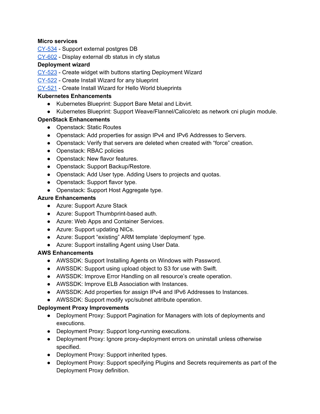#### **Micro services**

[CY-534](https://cloudifysource.atlassian.net/browse/CY-534) - Support external postgres DB

[CY-602](https://cloudifysource.atlassian.net/browse/CY-602) - Display external db status in cfy status

#### **Deployment wizard**

- [CY-523](https://cloudifysource.atlassian.net/browse/CY-523) Create widget with buttons starting Deployment Wizard
- [CY-522](https://cloudifysource.atlassian.net/browse/CY-522) Create Install Wizard for any blueprint
- [CY-521](https://cloudifysource.atlassian.net/browse/CY-521) Create Install Wizard for Hello World blueprints

#### **Kubernetes Enhancements**

- Kubernetes Blueprint: Support Bare Metal and Libvirt.
- Kubernetes Blueprint: Support Weave/Flannel/Calico/etc as network cni plugin module.

### **OpenStack Enhancements**

- Openstack: Static Routes
- Openstack: Add properties for assign IPv4 and IPv6 Addresses to Servers.
- Openstack: Verify that servers are deleted when created with "force" creation.
- Openstack: RBAC policies
- Openstack: New flavor features.
- Openstack: Support Backup/Restore.
- Openstack: Add User type. Adding Users to projects and quotas.
- Openstack: Support flavor type.
- Openstack: Support Host Aggregate type.

#### **Azure Enhancements**

- Azure: Support Azure Stack
- Azure: Support Thumbprint-based auth.
- Azure: Web Apps and Container Services.
- Azure: Support updating NICs.
- Azure: Support "existing" ARM template 'deployment' type.
- Azure: Support installing Agent using User Data.

#### **AWS Enhancements**

- AWSSDK: Support Installing Agents on Windows with Password.
- AWSSDK: Support using upload object to S3 for use with Swift.
- AWSSDK: Improve Error Handling on all resource's create operation.
- AWSSDK: Improve ELB Association with Instances.
- AWSSDK: Add properties for assign IPv4 and IPv6 Addresses to Instances.
- AWSSDK: Support modify vpc/subnet attribute operation.

# **Deployment Proxy Improvements**

- Deployment Proxy: Support Pagination for Managers with lots of deployments and executions.
- Deployment Proxy: Support long-running executions.
- Deployment Proxy: Ignore proxy-deployment errors on uninstall unless otherwise specified.
- Deployment Proxy: Support inherited types.
- Deployment Proxy: Support specifying Plugins and Secrets requirements as part of the Deployment Proxy definition.